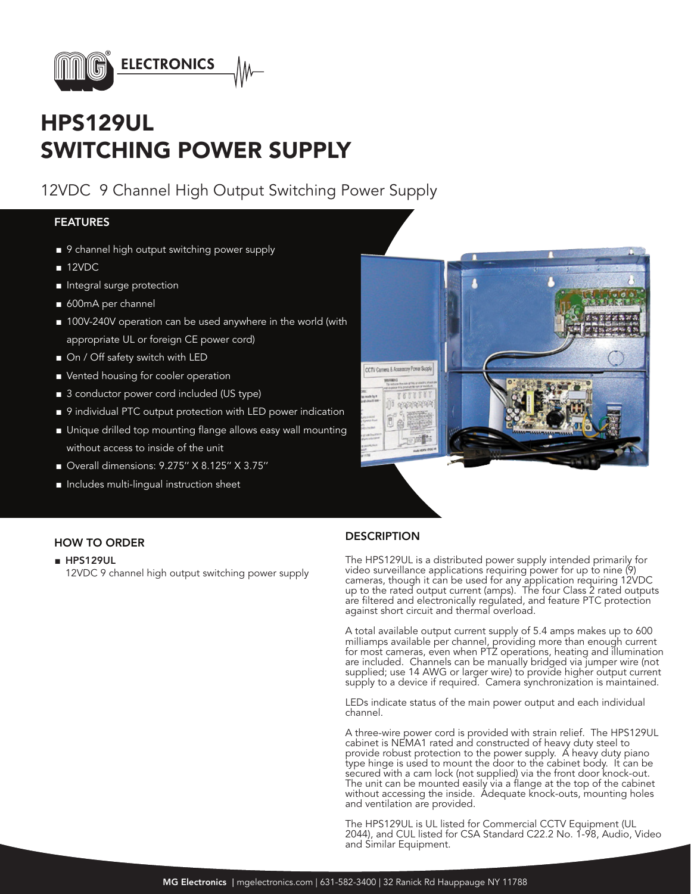

# HPS129UL SWITCHING POWER SUPPLY

12VDC 9 Channel High Output Switching Power Supply

### FEATURES

- 9 channel high output switching power supply
- 12VDC
- Integral surge protection
- 600mA per channel
- 100V-240V operation can be used anywhere in the world (with appropriate UL or foreign CE power cord)
- On / Off safety switch with LED
- Vented housing for cooler operation
- 3 conductor power cord included (US type)
- 9 individual PTC output protection with LED power indication
- Unique drilled top mounting flange allows easy wall mounting
- without access to inside of the unit
- Overall dimensions: 9.275" X 8.125" X 3.75"
- Includes multi-lingual instruction sheet



### ■ HPS129UL

12VDC 9 channel high output switching power supply

## HOW TO ORDER DESCRIPTION

The HPS129UL is a distributed power supply intended primarily for video surveillance applications requiring power for up to nine (9) cameras, though it can be used for any application requiring 12VDC up to the rated output current (amps). The four Class 2 rated outputs are filtered and electronically regulated, and feature PTC protection against short circuit and thermal overload.

A total available output current supply of 5.4 amps makes up to 600 milliamps available per channel, providing more than enough current for most cameras, even when PTZ operations, heating and illumination are included. Channels can be manually bridged via jumper wire (not supplied; use 14 AWG or larger wire) to provide higher output current supply to a device if required. Camera synchronization is maintained.

LEDs indicate status of the main power output and each individual channel.

A three-wire power cord is provided with strain relief. The HPS129UL cabinet is NEMA1 rated and constructed of heavy duty steel to provide robust protection to the power supply. A heavy duty piano type hinge is used to mount the door to the cabinet body. It can be secured with a cam lock (not supplied) via the front door knock-out. The unit can be mounted easily via a flange at the top of the cabinet without accessing the inside. Adequate knock-outs, mounting holes and ventilation are provided.

The HPS129UL is UL listed for Commercial CCTV Equipment (UL 2044), and CUL listed for CSA Standard C22.2 No. 1-98, Audio, Video and Similar Equipment.